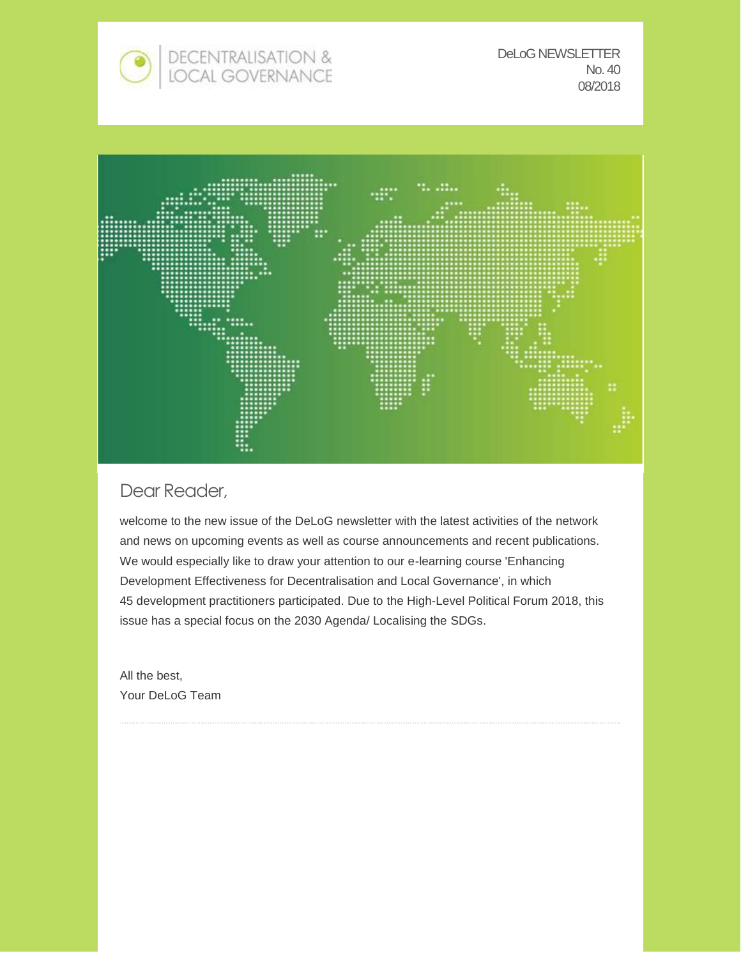

DeLoG NEWSLETTER No. 40 08/2018



### Dear Reader,

welcome to the new issue of the DeLoG newsletter with the latest activities of the network and news on upcoming events as well as course announcements and recent publications. We would especially like to draw your attention to our e-learning course 'Enhancing Development Effectiveness for Decentralisation and Local Governance', in which 45 development practitioners participated. Due to the High-Level Political Forum 2018, this issue has a special focus on the 2030 Agenda/ Localising the SDGs.

All the best, Your DeLoG Team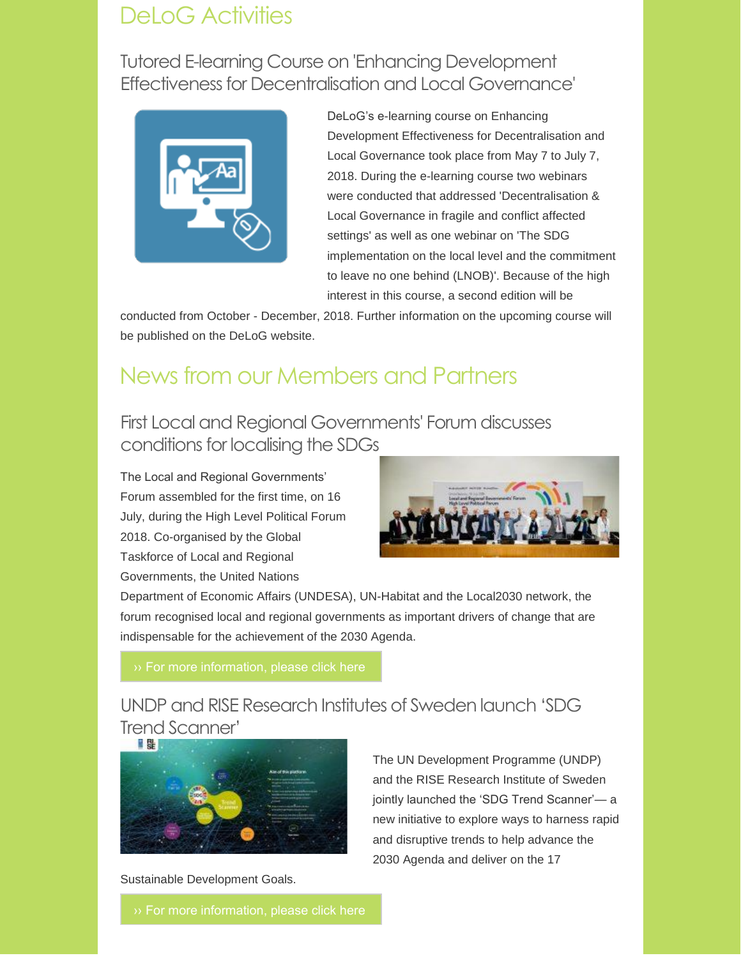# DeLoG Activities

Tutored E-learning Course on 'Enhancing Development [Effectiveness for Decentralisation and Local Governance'](https://www.delog.org/fileadmin/user_upload/e-learning__courses/pdf/E-learning-announcement_May-till-June-2018.pdf)



DeLoG's e-learning course on Enhancing Development Effectiveness for Decentralisation and Local Governance took place from May 7 to July 7, 2018. During the e-learning course two webinars were conducted that addressed 'Decentralisation & Local Governance in fragile and conflict affected settings' as well as one webinar on 'The SDG implementation on the local level and the commitment to leave no one behind (LNOB)'. Because of the high interest in this course, a second edition will be

conducted from October - December, 2018. Further information on the upcoming course will be published on the DeLoG website.

# News from our Members and Partners

First Local and Regional Governments' Forum discusses conditions for localising the SDGs

The Local and Regional Governments' Forum assembled for the first time, on 16 July, during the High Level Political Forum 2018. Co-organised by the Global Taskforce of Local and Regional Governments, the United Nations



Department of Economic Affairs (UNDESA), UN-Habitat and the Local2030 network, the forum recognised local and regional governments as important drivers of change that are indispensable for the achievement of the 2030 Agenda.

[›› For more information, please click here](http://sdg.iisd.org/news/first-local-and-regional-governments-forum-discusses-conditions-for-localizing-sdgs/)

UNDP and RISE Research Institutes of Sweden launch 'SDG Trend Scanner'



The UN Development Programme (UNDP) and the RISE Research Institute of Sweden jointly launched the 'SDG Trend Scanner'— a new initiative to explore ways to harness rapid and disruptive trends to help advance the 2030 Agenda and deliver on the 17

Sustainable Development Goals.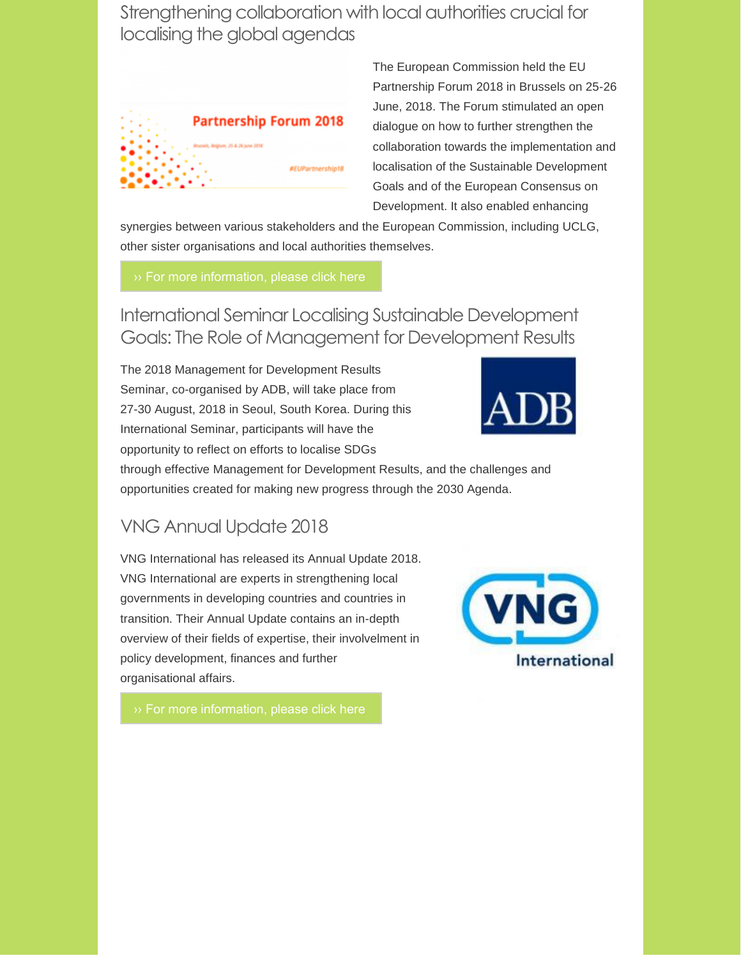Strengthening collaboration with local authorities crucial for localising the global agendas



The European Commission held the EU Partnership Forum 2018 in Brussels on 25-26 June, 2018. The Forum stimulated an open dialogue on how to further strengthen the collaboration towards the implementation and localisation of the Sustainable Development Goals and of the European Consensus on Development. It also enabled enhancing

synergies between various stakeholders and the European Commission, including UCLG, other sister organisations and local authorities themselves.

International Seminar Localising Sustainable Development [Goals: The Role of Management for Development Results](http://blgf.gov.ph/international-seminar-on-localizing-sustainable-development-goals-sdgs-the-role-of-management-for-development-results-mfdr/)

The 2018 Management for Development Results Seminar, co-organised by ADB, will take place from 27-30 August, 2018 in Seoul, South Korea. During this International Seminar, participants will have the opportunity to reflect on efforts to localise SDGs



through effective Management for Development Results, and the challenges and opportunities created for making new progress through the 2030 Agenda.

# VNG Annual Update 2018

VNG International has released its Annual Update 2018. VNG International are experts in strengthening local governments in developing countries and countries in transition. Their Annual Update contains an in-depth overview of their fields of expertise, their involvelment in policy development, finances and further organisational affairs.

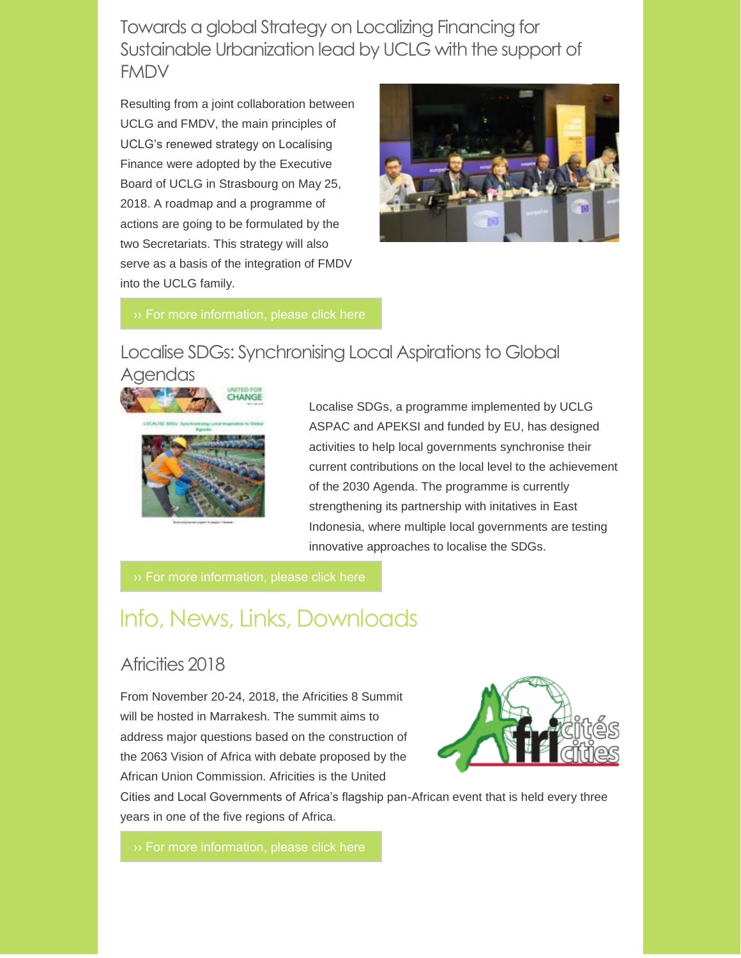Towards a global Strategy on Localizing Financing for Sustainable Urbanization lead by UCLG with the support of FMDV

Resulting from a joint collaboration between UCLG and FMDV, the main principles of UCLG's renewed strategy on Localising Finance were adopted by the Executive Board of UCLG in Strasbourg on May 25, 2018. A roadmap and a programme of actions are going to be formulated by the two Secretariats. This strategy will also serve as a basis of the integration of FMDV into the UCLG family.



## Localise SDGs: Synchronising Local Aspirations to Global



Localise SDGs, a programme implemented by UCLG ASPAC and APEKSI and funded by EU, has designed activities to help local governments synchronise their current contributions on the local level to the achievement of the 2030 Agenda. The programme is currently strengthening its partnership with initatives in East Indonesia, where multiple local governments are testing innovative approaches to localise the SDGs.

# Info, News, Links, Downloads

### Africities 2018

From November 20-24, 2018, the Africities 8 Summit will be hosted in Marrakesh. The summit aims to address major questions based on the construction of the 2063 Vision of Africa with debate proposed by the African Union Commission. Africities is the United



Cities and Local Governments of Africa's flagship pan-African event that is held every three years in one of the five regions of Africa.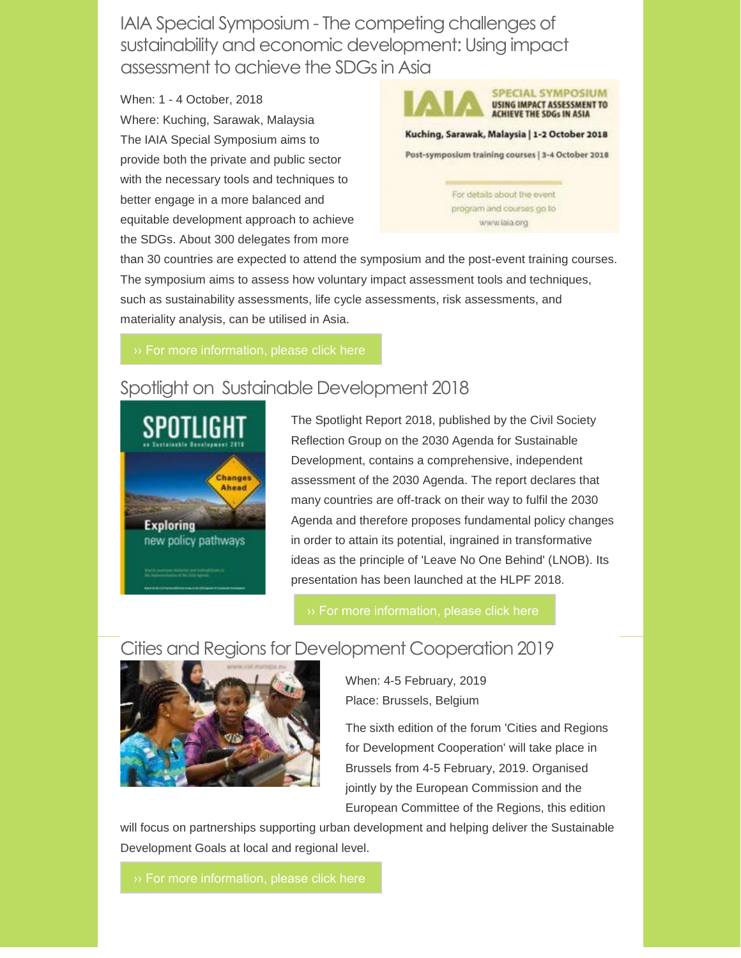IAIA Special Symposium - The competing challenges of sustainability and economic development: Using impact assessment to achieve the SDGs in Asia

When: 1 - 4 October, 2018 Where: Kuching, Sarawak, Malaysia The IAIA Special Symposium aims to provide both the private and public sector with the necessary tools and techniques to better engage in a more balanced and equitable development approach to achieve the SDGs. About 300 delegates from more



For details about the event program and courses go to www.iaia.org

than 30 countries are expected to attend the symposium and the post-event training courses. The symposium aims to assess how voluntary impact assessment tools and techniques, such as sustainability assessments, life cycle assessments, risk assessments, and materiality analysis, can be utilised in Asia.

# Spotlight on Sustainable Development 2018



The Spotlight Report 2018, published by the Civil Society Reflection Group on the 2030 Agenda for Sustainable Development, contains a comprehensive, independent assessment of the 2030 Agenda. The report declares that many countries are off-track on their way to fulfil the 2030 Agenda and therefore proposes fundamental policy changes in order to attain its potential, ingrained in transformative ideas as the principle of 'Leave No One Behind' (LNOB). Its presentation has been launched at the HLPF 2018.

# Cities and Regions for Development Cooperation 2019



When: 4-5 February, 2019 Place: Brussels, Belgium

The sixth edition of the forum 'Cities and Regions for Development Cooperation' will take place in Brussels from 4-5 February, 2019. Organised jointly by the European Commission and the European Committee of the Regions, this edition

will focus on partnerships supporting urban development and helping deliver the Sustainable Development Goals at local and regional level.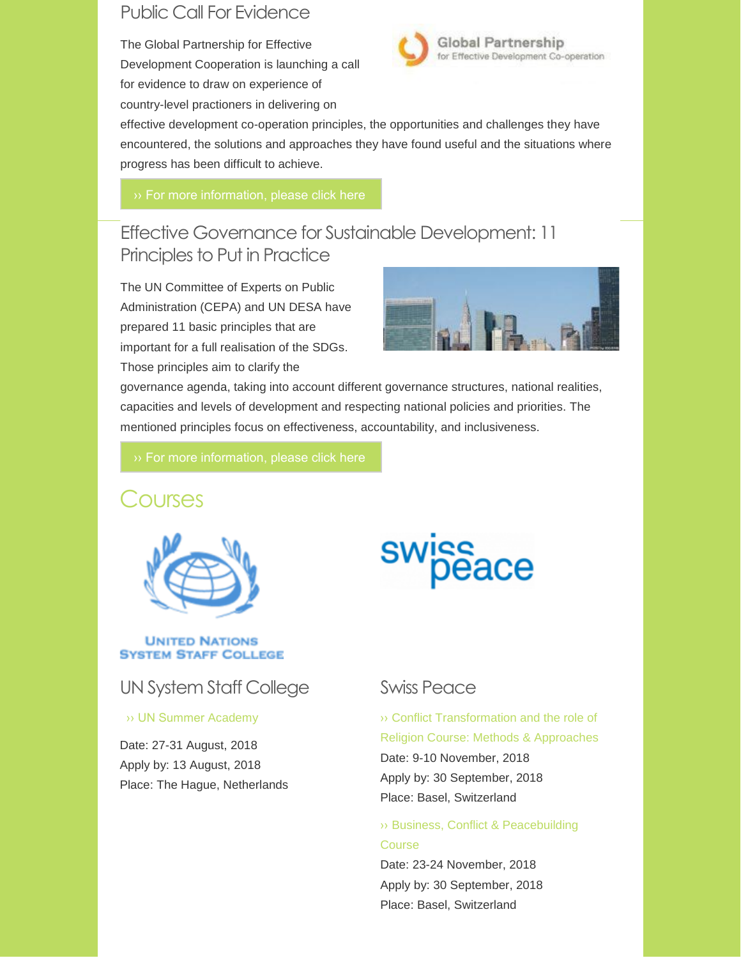# Public Call For Evidence

The Global Partnership for Effective Development Cooperation is launching a call for evidence to draw on experience of country-level practioners in delivering on



effective development co-operation principles, the opportunities and challenges they have encountered, the solutions and approaches they have found useful and the situations where progress has been difficult to achieve.

# Effective Governance for Sustainable Development: 11 Principles to Put in Practice

The UN Committee of Experts on Public Administration (CEPA) and UN DESA have prepared 11 basic principles that are important for a full realisation of the SDGs. Those principles aim to clarify the



governance agenda, taking into account different governance structures, national realities, capacities and levels of development and respecting national policies and priorities. The mentioned principles focus on effectiveness, accountability, and inclusiveness.

# Courses



#### **UNITED NATIONS SYSTEM STAFF COLLEGE**

# UN System Staff College

#### [›› UN Summer](https://www.unssc.org/courses/un-summer-academy/) Academy

Date: 27-31 August, 2018 Apply by: 13 August, 2018 Place: The Hague, Netherlands

# swiss<br>peace

### Swiss Peace

›› Conflict Transformation and the role of [Religion Course: Methods & Approaches](https://www.swisspeace.ch/continuing-education/postgraduate-courses/) Date: 9-10 November, 2018 Apply by: 30 September, 2018 Place: Basel, Switzerland

#### ›› [Business, Conflict & Peacebuilding](https://www.swisspeace.ch/continuing-education/postgraduate-courses/)  **Course**

Date: 23-24 November, 2018 Apply by: 30 September, 2018 Place: Basel, Switzerland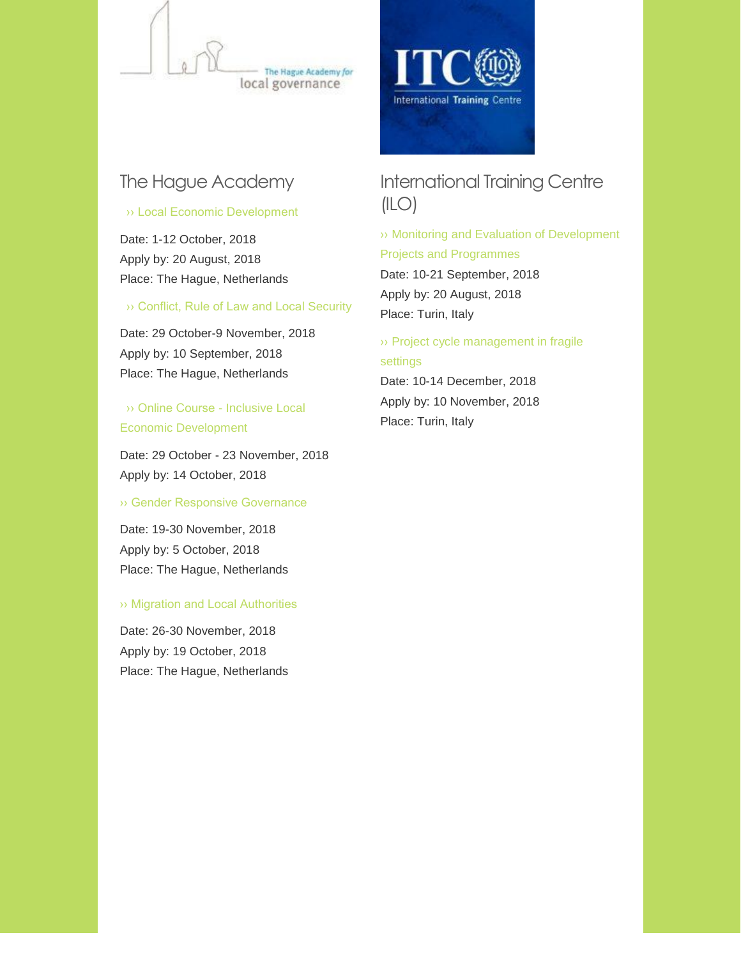

# The Hague Academy

#### [›› Local Economic Development](https://thehagueacademy.com/blog/2017/03/local-economic-development-2018/)

Date: 1-12 October, 2018 Apply by: 20 August, 2018 Place: The Hague, Netherlands

#### [›› Conflict, Rule of Law and Local Security](https://thehagueacademy.com/blog/2017/03/conflict-rule-law-local-security-2018/)

Date: 29 October-9 November, 2018 Apply by: 10 September, 2018 Place: The Hague, Netherlands

### ›› Online Course - Inclusive Local [Economic Development](https://thehagueacademy.com/blog/2017/03/online-course-led/)

Date: 29 October - 23 November, 2018 Apply by: 14 October, 2018

#### [›› Gender Responsive Governance](https://thehagueacademy.com/blog/2018/04/2019-course-gender-responsive-governance/)

Date: 19-30 November, 2018 Apply by: 5 October, 2018 Place: The Hague, Netherlands

#### [›› Migration and Local Authorities](https://thehagueacademy.com/blog/2019/03/migration-and-local-authorities/)

Date: 26-30 November, 2018 Apply by: 19 October, 2018 Place: The Hague, Netherlands



# International Training Centre  $(ILO)$

›› [Monitoring and Evaluation of Development](https://www.itcilo.org/courses/monitoring-and-evaluation-development-projects-and-programmes)  Projects and Programmes Date: 10-21 September, 2018

Apply by: 20 August, 2018 Place: Turin, Italy

›› [Project cycle management in fragile](https://www.itcilo.org/courses/project-cycle-management-fragile-settings)  settings

Date: 10-14 December, 2018 Apply by: 10 November, 2018 Place: Turin, Italy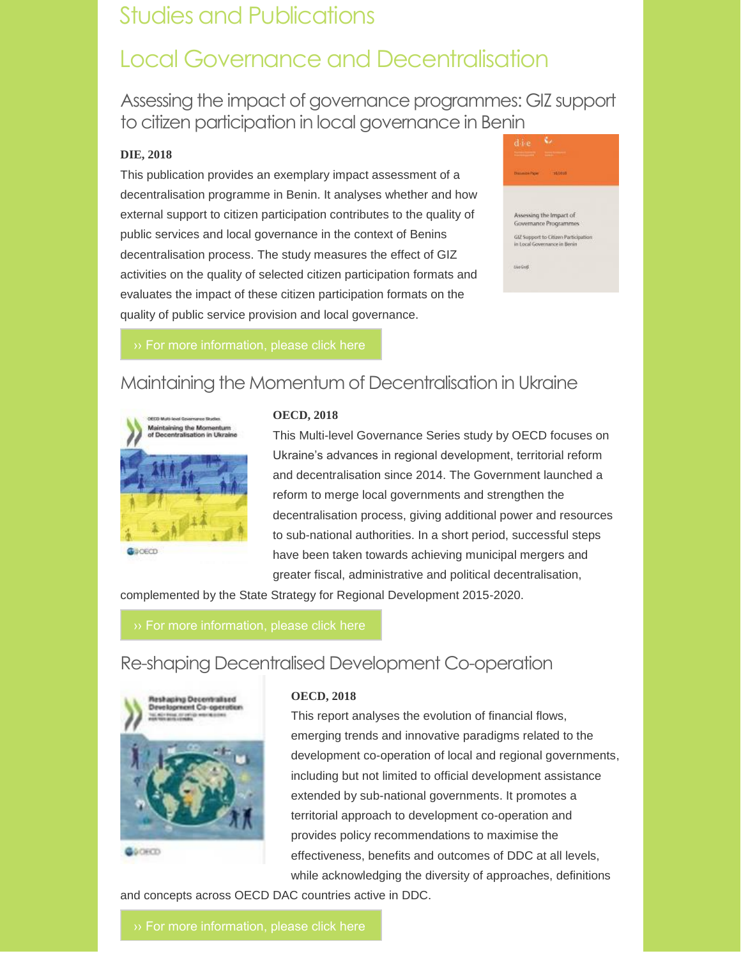# Studies and Publications

# Local Governance and Decentralisation

Assessing the impact of governance programmes: GIZ support to citizen participation in local governance in Benin

#### **DIE, 2018**

This publication provides an exemplary impact assessment of a decentralisation programme in Benin. It analyses whether and how external support to citizen participation contributes to the quality of public services and local governance in the context of Benins decentralisation process. The study measures the effect of GIZ activities on the quality of selected citizen participation formats and evaluates the impact of these citizen participation formats on the quality of public service provision and local governance.



# Maintaining the Momentum of Decentralisation in Ukraine



#### **OECD, 2018**

This Multi-level Governance Series study by OECD focuses on Ukraine's advances in regional development, territorial reform and decentralisation since 2014. The Government launched a reform to merge local governments and strengthen the decentralisation process, giving additional power and resources to sub-national authorities. In a short period, successful steps have been taken towards achieving municipal mergers and greater fiscal, administrative and political decentralisation,

complemented by the State Strategy for Regional Development 2015-2020.

# Re-shaping Decentralised Development Co-operation



#### **OECD, 2018**

This report analyses the evolution of financial flows, emerging trends and innovative paradigms related to the development co-operation of local and regional governments, including but not limited to official development assistance extended by sub-national governments. It promotes a territorial approach to development co-operation and provides policy recommendations to maximise the effectiveness, benefits and outcomes of DDC at all levels, while acknowledging the diversity of approaches, definitions

and concepts across OECD DAC countries active in DDC.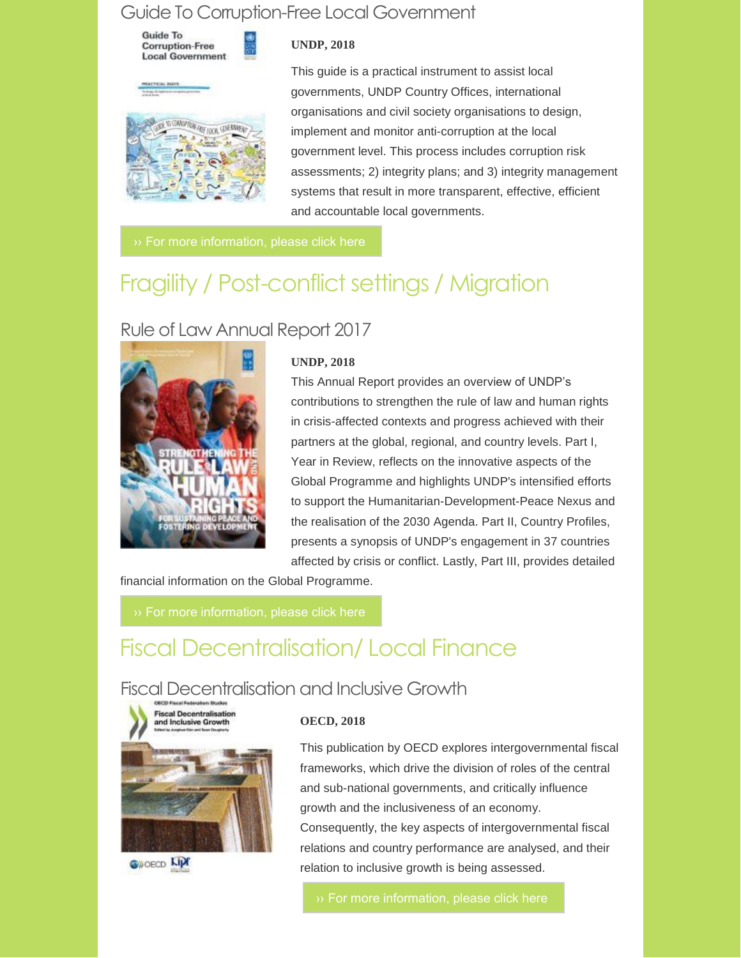## Guide To Corruption-Free Local Government

**Guide To Corruption-Free Local Government** 

#### **UNDP, 2018**

This guide is a practical instrument to assist local governments, UNDP Country Offices, international organisations and civil society organisations to design, implement and monitor anti-corruption at the local government level. This process includes corruption risk assessments; 2) integrity plans; and 3) integrity management systems that result in more transparent, effective, efficient and accountable local governments.

# Fragility / Post-conflict settings / Migration

# Rule of Law Annual Report 2017



#### **UNDP, 2018**

This Annual Report provides an overview of UNDP's contributions to strengthen the rule of law and human rights in crisis-affected contexts and progress achieved with their partners at the global, regional, and country levels. Part I, Year in Review, reflects on the innovative aspects of the Global Programme and highlights UNDP's intensified efforts to support the Humanitarian-Development-Peace Nexus and the realisation of the 2030 Agenda. Part II, Country Profiles, presents a synopsis of UNDP's engagement in 37 countries affected by crisis or conflict. Lastly, Part III, provides detailed

financial information on the Global Programme.

# Fiscal Decentralisation/ Local Finance

# Fiscal Decentralisation and Inclusive Growth





#### **OECD, 2018**

This publication by OECD explores intergovernmental fiscal frameworks, which drive the division of roles of the central and sub-national governments, and critically influence growth and the inclusiveness of an economy. Consequently, the key aspects of intergovernmental fiscal relations and country performance are analysed, and their relation to inclusive growth is being assessed.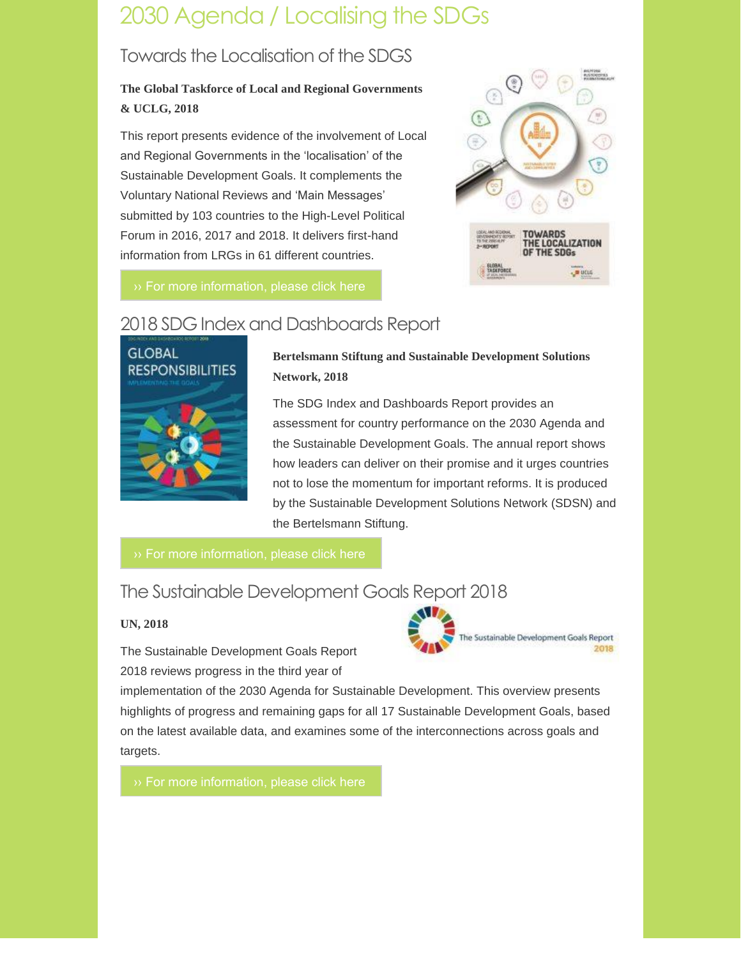# 2030 Agenda / Localising the SDGs

# Towards the Localisation of the SDGS

### **The Global Taskforce of Local and Regional Governments & UCLG, 2018**

This report presents evidence of the involvement of Local and Regional Governments in the 'localisation' of the Sustainable Development Goals. It complements the Voluntary National Reviews and 'Main Messages' submitted by 103 countries to the High-Level Political Forum in 2016, 2017 and 2018. It delivers first-hand information from LRGs in 61 different countries.



# 2018 SDG Index and Dashboards Report



**Bertelsmann Stiftung and Sustainable Development Solutions Network, 2018**

The SDG Index and Dashboards Report provides an assessment for country performance on the 2030 Agenda and the Sustainable Development Goals. The annual report shows how leaders can deliver on their promise and it urges countries not to lose the momentum for important reforms. It is produced by the Sustainable Development Solutions Network (SDSN) and the Bertelsmann Stiftung.

# The Sustainable Development Goals Report 2018

#### **UN, 2018**

The Sustainable Development Goals Report 2018 reviews progress in the third year of



implementation of the 2030 Agenda for Sustainable Development. This overview presents highlights of progress and remaining gaps for all 17 Sustainable Development Goals, based on the latest available data, and examines some of the interconnections across goals and targets.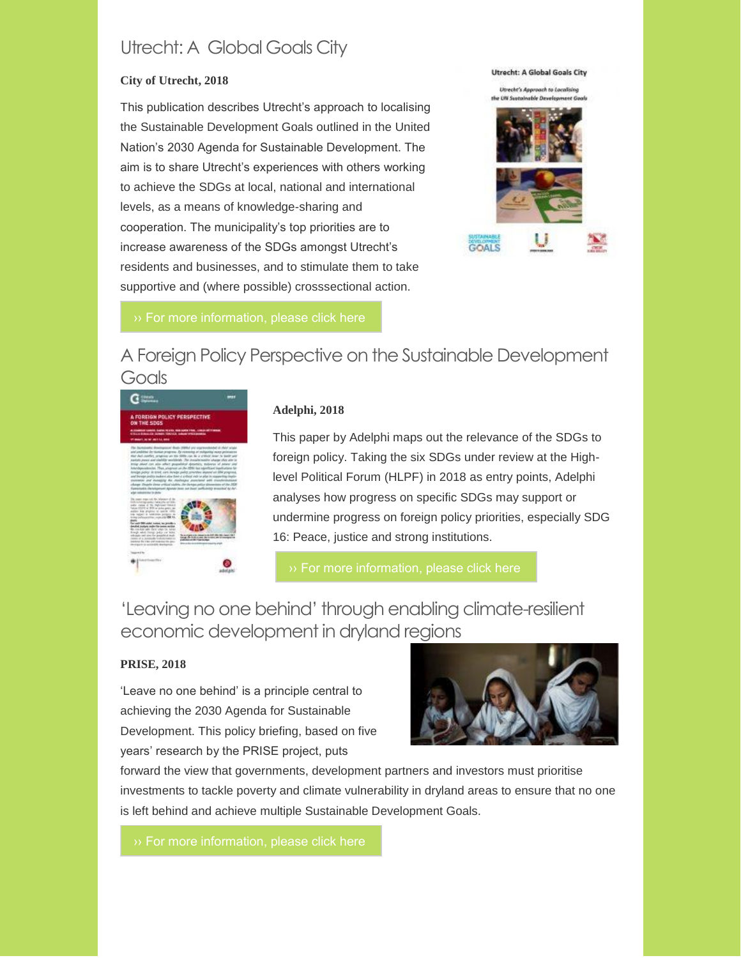# Utrecht: A Global Goals City

#### **City of Utrecht, 2018**

This publication describes Utrecht's approach to localising the Sustainable Development Goals outlined in the United Nation's 2030 Agenda for Sustainable Development. The aim is to share Utrecht's experiences with others working to achieve the SDGs at local, national and international levels, as a means of knowledge-sharing and cooperation. The municipality's top priorities are to increase awareness of the SDGs amongst Utrecht's residents and businesses, and to stimulate them to take supportive and (where possible) crosssectional action.



# A Foreign Policy Perspective on the Sustainable Development **Goals**



#### **Adelphi, 2018**

This paper by Adelphi maps out the relevance of the SDGs to foreign policy. Taking the six SDGs under review at the Highlevel Political Forum (HLPF) in 2018 as entry points, Adelphi analyses how progress on specific SDGs may support or undermine progress on foreign policy priorities, especially SDG 16: Peace, justice and strong institutions.

# 'Leaving no one behind' through enabling climate-resilient economic development in dryland regions

#### **PRISE, 2018**

'Leave no one behind' is a principle central to achieving the 2030 Agenda for Sustainable Development. This policy briefing, based on five years' research by the PRISE project, puts



forward the view that governments, development partners and investors must prioritise investments to tackle poverty and climate vulnerability in dryland areas to ensure that no one is left behind and achieve multiple Sustainable Development Goals.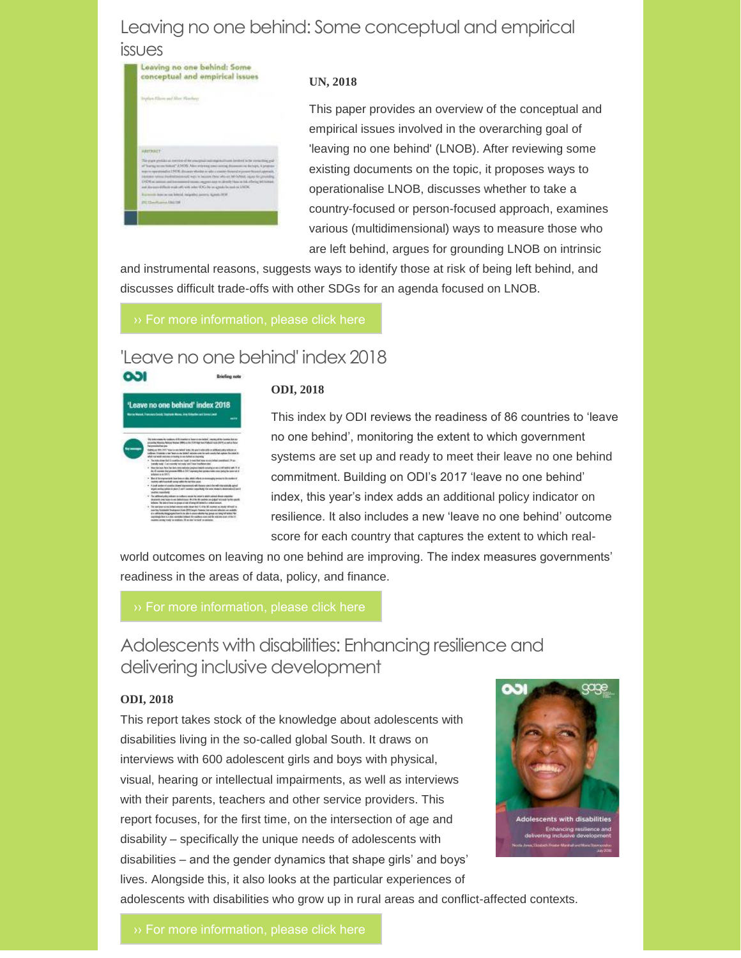### Leaving no one behind: Some conceptual and empirical

#### issues

|                          | conceptual and empirical is                                                                                                                                                                                                                                                                                                                                                                                                                                                                                                                          |
|--------------------------|------------------------------------------------------------------------------------------------------------------------------------------------------------------------------------------------------------------------------------------------------------------------------------------------------------------------------------------------------------------------------------------------------------------------------------------------------------------------------------------------------------------------------------------------------|
|                          | a and May Vicentury<br><b>STEP OF</b>                                                                                                                                                                                                                                                                                                                                                                                                                                                                                                                |
| <b>ARTTRACT</b>          |                                                                                                                                                                                                                                                                                                                                                                                                                                                                                                                                                      |
|                          | The paper gradules as menters of the conceptual null registrations bested in the contacting goal<br>of formy re-rectated" JUVOS Alectrophog mentions discussions detects a proper<br>warm symmodical SCR, discount who does a site a country-forward ways are from a consciousness.<br>research rates the Military and way in believe they will be an advised liquid for probability<br>DOS al lamas and intermediations, regent any midrate (Ani a 14 albeig lebistrate<br>not discuss influsionate with with order IDS-dates agende bened in LWDC. |
| IRC Chevillaneon COU 130 | The words below as one behind incipation powers, signals for at-                                                                                                                                                                                                                                                                                                                                                                                                                                                                                     |
|                          |                                                                                                                                                                                                                                                                                                                                                                                                                                                                                                                                                      |

#### **UN, 2018**

This paper provides an overview of the conceptual and empirical issues involved in the overarching goal of 'leaving no one behind' (LNOB). After reviewing some existing documents on the topic, it proposes ways to operationalise LNOB, discusses whether to take a country-focused or person-focused approach, examines various (multidimensional) ways to measure those who are left behind, argues for grounding LNOB on intrinsic

and instrumental reasons, suggests ways to identify those at risk of being left behind, and discusses difficult trade-offs with other SDGs for an agenda focused on LNOB.

## 'Leave no one behind' index 2018

| 'Leave no one behind' index 2018<br>Martin Maraul, Francisco Cratis, Unatrado Marias, Jona Kolovitas ant Entrariuscial<br><b>MARY</b> |                                                                                                                                                                                                                                                                                                                                                                                                                                                                                                                                                                                                                                                                                                                                                                                                                                                                                                                                                                                                                                                                                                                                                                                                                                                                                                                                                                                                                                                                                                                                                                                                                                                                                                                                                                                                                                                                                                                                                                  |  |
|---------------------------------------------------------------------------------------------------------------------------------------|------------------------------------------------------------------------------------------------------------------------------------------------------------------------------------------------------------------------------------------------------------------------------------------------------------------------------------------------------------------------------------------------------------------------------------------------------------------------------------------------------------------------------------------------------------------------------------------------------------------------------------------------------------------------------------------------------------------------------------------------------------------------------------------------------------------------------------------------------------------------------------------------------------------------------------------------------------------------------------------------------------------------------------------------------------------------------------------------------------------------------------------------------------------------------------------------------------------------------------------------------------------------------------------------------------------------------------------------------------------------------------------------------------------------------------------------------------------------------------------------------------------------------------------------------------------------------------------------------------------------------------------------------------------------------------------------------------------------------------------------------------------------------------------------------------------------------------------------------------------------------------------------------------------------------------------------------------------|--|
|                                                                                                                                       | his below comes the traditions of Bill America's base is not believe in reconsciously be necessary that any<br>counting Waynes, Notices Herman MARIS of the COMPANY from 14 design to an APPR as well on face<br>hal presented as year.<br>that but in the 2007 to be a year to be a think the pre-trade with a self-best and a subset of<br>solares. Emetete cone feature our bided activities and control of castus finiteless in<br>which car wildl colorates in lewing silvers Sefect are impliedly.<br>The initial three fluid Concention are local to meet but better as a substantial constituent. He are<br>bankly look! Successively harvesty until less tradition day.<br>. See brinst he's fat box new whole popul twent works a self being while a<br>the fill exposes that presented MBs in SMT copyright to period india some batted for nature of all<br><b>Minimum A. Box 76</b><br>But a terraparenti law latern dia with whole at<br>sales entrances discounter of<br>cadmic adhiviously away which by birthis post<br>· And since durable their injuries of fisics and here!<br>argets envited public in their 2 cent is parented inpurished the same shape the determined and cent<br><b><i><i><u>GARTING INQUARMENTS</u></i></i></b><br>. The additional exhect relation on confirmation and the action in which subject through any<br>Designated comed highly to use Select comes. We of the Will packing you dedicate highly between the file use<br>infantes. This below hours on phases of role of lating left infant for a critical sciences.<br>1 The spatister releasing between each stopp that FC of the MC responses and each relimitation<br>exclay Control & Text good Cott (CC) angle. Newon, her automa infected up and all-<br>it a self-center-fologing expertisem to be alle to concern whether larg "programs taking lot number. Not<br>permutation is a site contributioner for eachest over red in extensions of the V |  |

001

#### **ODI, 2018**

This index by ODI reviews the readiness of 86 countries to 'leave no one behind', monitoring the extent to which government systems are set up and ready to meet their leave no one behind commitment. Building on ODI's 2017 'leave no one behind' index, this year's index adds an additional policy indicator on resilience. It also includes a new 'leave no one behind' outcome score for each country that captures the extent to which real-

world outcomes on leaving no one behind are improving. The index measures governments' readiness in the areas of data, policy, and finance.

Adolescents with disabilities: Enhancing resilience and delivering inclusive development

#### **ODI, 2018**

This report takes stock of the knowledge about adolescents with disabilities living in the so-called global South. It draws on interviews with 600 adolescent girls and boys with physical, visual, hearing or intellectual impairments, as well as interviews with their parents, teachers and other service providers. This report focuses, for the first time, on the intersection of age and disability – specifically the unique needs of adolescents with disabilities – and the gender dynamics that shape girls' and boys' lives. Alongside this, it also looks at the particular experiences of



adolescents with disabilities who grow up in rural areas and conflict-affected contexts.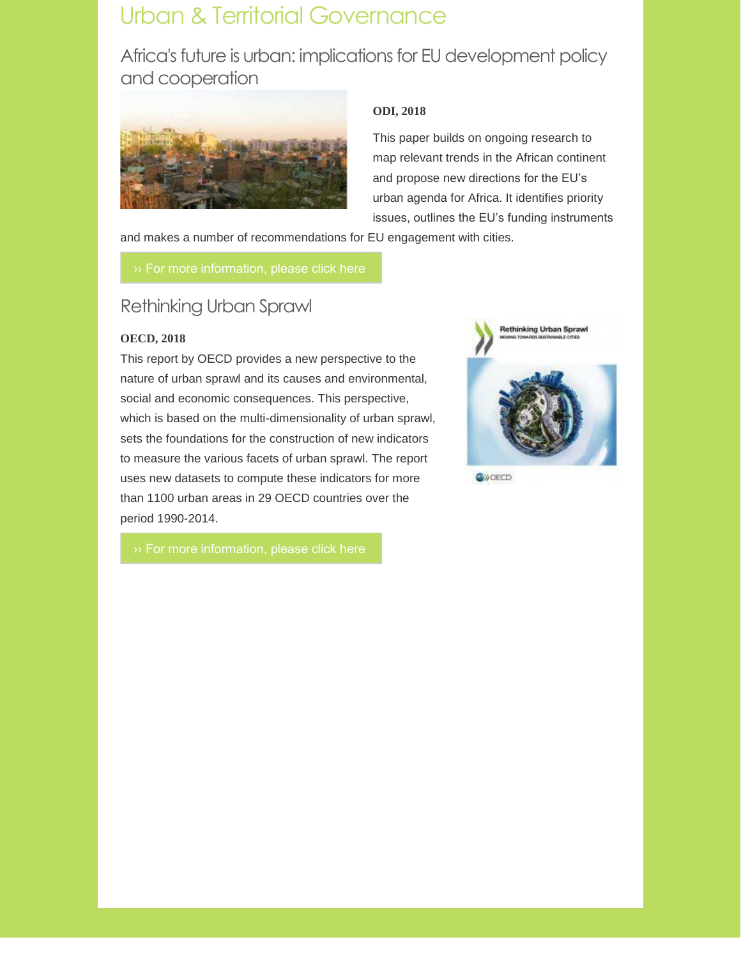# Urban & Territorial Governance

Africa's future is urban: implications for EU development policy and cooperation



#### **ODI, 2018**

This paper builds on ongoing research to map relevant trends in the African continent and propose new directions for the EU's urban agenda for Africa. It identifies priority issues, outlines the EU's funding instruments

and makes a number of recommendations for EU engagement with cities.

### Rethinking Urban Sprawl

#### **OECD, 2018**

This report by OECD provides a new perspective to the nature of urban sprawl and its causes and environmental, social and economic consequences. This perspective, which is based on the multi-dimensionality of urban sprawl, sets the foundations for the construction of new indicators to measure the various facets of urban sprawl. The report uses new datasets to compute these indicators for more than 1100 urban areas in 29 OECD countries over the period 1990-2014.



**G**WOECD